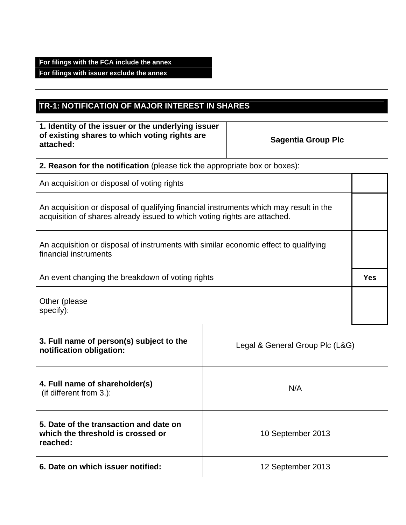## **For filings with the FCA include the annex For filings with issuer exclude the annex**

## **TR-1: NOTIFICATION OF MAJOR INTEREST IN SHARES**

| 1. Identity of the issuer or the underlying issuer<br>of existing shares to which voting rights are<br>attached:                                                    |                   | <b>Sagentia Group Plc</b> |            |
|---------------------------------------------------------------------------------------------------------------------------------------------------------------------|-------------------|---------------------------|------------|
| 2. Reason for the notification (please tick the appropriate box or boxes):                                                                                          |                   |                           |            |
| An acquisition or disposal of voting rights                                                                                                                         |                   |                           |            |
| An acquisition or disposal of qualifying financial instruments which may result in the<br>acquisition of shares already issued to which voting rights are attached. |                   |                           |            |
| An acquisition or disposal of instruments with similar economic effect to qualifying<br>financial instruments                                                       |                   |                           |            |
| An event changing the breakdown of voting rights                                                                                                                    |                   |                           | <b>Yes</b> |
| Other (please<br>specify):                                                                                                                                          |                   |                           |            |
| 3. Full name of person(s) subject to the<br>Legal & General Group Plc (L&G)<br>notification obligation:                                                             |                   |                           |            |
| 4. Full name of shareholder(s)<br>(if different from 3.):                                                                                                           | N/A               |                           |            |
| 5. Date of the transaction and date on<br>which the threshold is crossed or<br>reached:                                                                             | 10 September 2013 |                           |            |
| 6. Date on which issuer notified:                                                                                                                                   |                   | 12 September 2013         |            |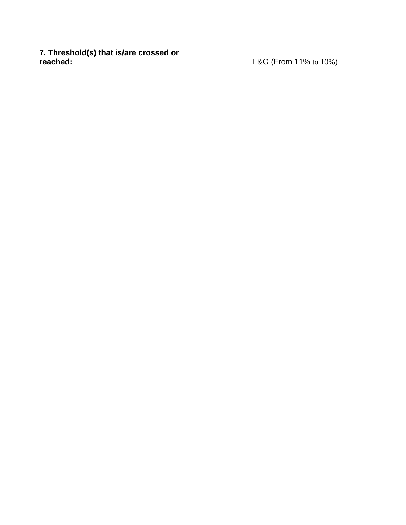| 7. Threshold(s) that is/are crossed or |                                      |
|----------------------------------------|--------------------------------------|
| reached:                               | <b>L&amp;G</b> (From 11% to $10\%$ ) |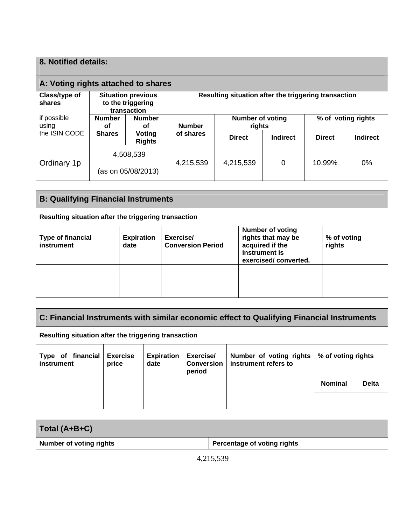| 8. Notified details:                                                                                                                             |                     |                                 |               |                                   |                 |                    |                 |
|--------------------------------------------------------------------------------------------------------------------------------------------------|---------------------|---------------------------------|---------------|-----------------------------------|-----------------|--------------------|-----------------|
| A: Voting rights attached to shares                                                                                                              |                     |                                 |               |                                   |                 |                    |                 |
| Resulting situation after the triggering transaction<br>Class/type of<br><b>Situation previous</b><br>to the triggering<br>shares<br>transaction |                     |                                 |               |                                   |                 |                    |                 |
| if possible<br>using                                                                                                                             | <b>Number</b><br>οf | <b>Number</b><br>οf             | <b>Number</b> | <b>Number of voting</b><br>rights |                 | % of voting rights |                 |
| the ISIN CODE                                                                                                                                    | <b>Shares</b>       | Voting<br><b>Rights</b>         | of shares     | <b>Direct</b>                     | <b>Indirect</b> | <b>Direct</b>      | <b>Indirect</b> |
| Ordinary 1p                                                                                                                                      |                     | 4,508,539<br>(as on 05/08/2013) | 4,215,539     | 4,215,539                         | 0               | $10.99\%$          | $0\%$           |

| <b>B: Qualifying Financial Instruments</b>                                                                                                                                                                                                         |  |  |  |  |
|----------------------------------------------------------------------------------------------------------------------------------------------------------------------------------------------------------------------------------------------------|--|--|--|--|
| Resulting situation after the triggering transaction                                                                                                                                                                                               |  |  |  |  |
| <b>Number of voting</b><br>rights that may be<br>Exercise/<br><b>Type of financial</b><br><b>Expiration</b><br>% of voting<br>acquired if the<br><b>Conversion Period</b><br>instrument<br>rights<br>date<br>instrument is<br>exercised/converted. |  |  |  |  |
|                                                                                                                                                                                                                                                    |  |  |  |  |

| C: Financial Instruments with similar economic effect to Qualifying Financial Instruments                                                                                                                     |  |  |  |  |                |              |
|---------------------------------------------------------------------------------------------------------------------------------------------------------------------------------------------------------------|--|--|--|--|----------------|--------------|
| Resulting situation after the triggering transaction                                                                                                                                                          |  |  |  |  |                |              |
| <b>Exercise</b><br>Exercise/<br>Type of financial<br><b>Expiration</b><br>Number of voting rights<br>% of voting rights<br>instrument refers to<br><b>Conversion</b><br>instrument<br>price<br>date<br>period |  |  |  |  |                |              |
|                                                                                                                                                                                                               |  |  |  |  | <b>Nominal</b> | <b>Delta</b> |
|                                                                                                                                                                                                               |  |  |  |  |                |              |

| Total (A+B+C)                  |                             |
|--------------------------------|-----------------------------|
| <b>Number of voting rights</b> | Percentage of voting rights |
| 4,215,539                      |                             |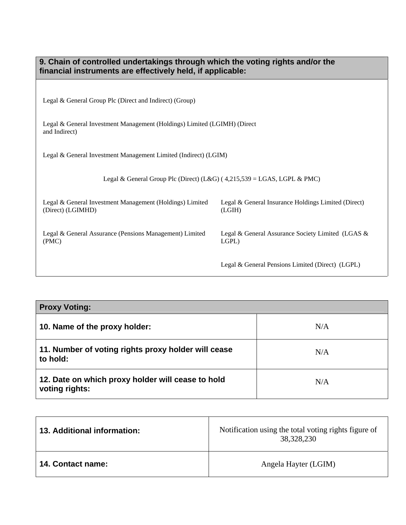| 9. Chain of controlled undertakings through which the voting rights and/or the<br>financial instruments are effectively held, if applicable: |                                                               |  |
|----------------------------------------------------------------------------------------------------------------------------------------------|---------------------------------------------------------------|--|
|                                                                                                                                              |                                                               |  |
| Legal & General Group Plc (Direct and Indirect) (Group)                                                                                      |                                                               |  |
| Legal & General Investment Management (Holdings) Limited (LGIMH) (Direct<br>and Indirect)                                                    |                                                               |  |
| Legal & General Investment Management Limited (Indirect) (LGIM)                                                                              |                                                               |  |
| Legal & General Group Plc (Direct) (L&G) ( $4,215,539 =$ LGAS, LGPL & PMC)                                                                   |                                                               |  |
| Legal & General Investment Management (Holdings) Limited<br>(Direct) (LGIMHD)                                                                | Legal & General Insurance Holdings Limited (Direct)<br>(LGIH) |  |
| Legal & General Assurance (Pensions Management) Limited<br>(PMC)                                                                             | Legal & General Assurance Society Limited (LGAS &<br>LGPL)    |  |
|                                                                                                                                              | Legal & General Pensions Limited (Direct) (LGPL)              |  |

| <b>Proxy Voting:</b>                                                |     |
|---------------------------------------------------------------------|-----|
| 10. Name of the proxy holder:                                       | N/A |
| 11. Number of voting rights proxy holder will cease<br>to hold:     | N/A |
| 12. Date on which proxy holder will cease to hold<br>voting rights: | N/A |

| 13. Additional information: | Notification using the total voting rights figure of<br>38,328,230 |
|-----------------------------|--------------------------------------------------------------------|
| <b>14. Contact name:</b>    | Angela Hayter (LGIM)                                               |